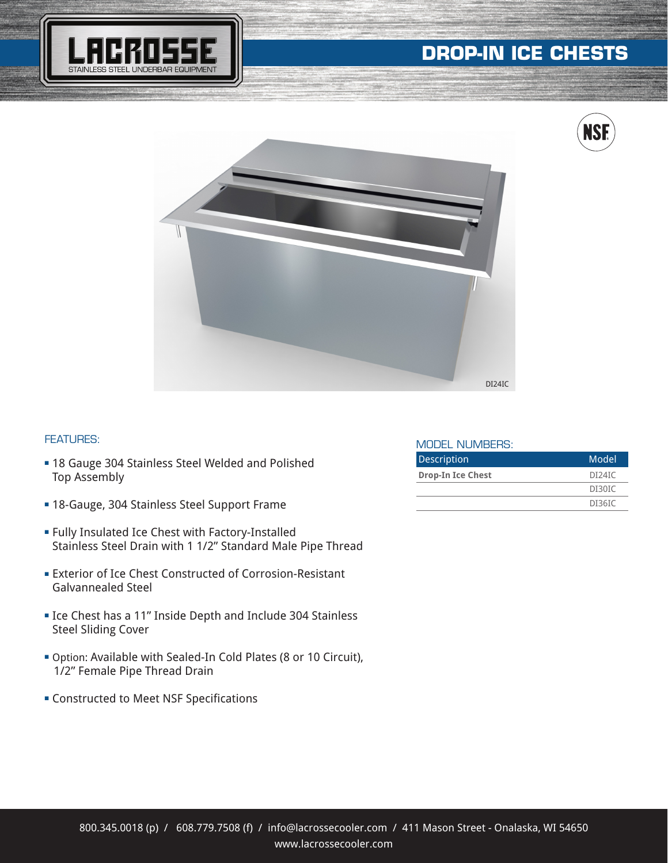







## FEATURES:

- **= 18 Gauge 304 Stainless Steel Welded and Polished** Top Assembly
- **= 18-Gauge, 304 Stainless Steel Support Frame**
- **Fully Insulated Ice Chest with Factory-Installed** Stainless Steel Drain with 1 1/2" Standard Male Pipe Thread
- **Exterior of Ice Chest Constructed of Corrosion-Resistant** Galvannealed Steel
- **Exercise 12 Figure 11**" Inside Depth and Include 304 Stainless Steel Sliding Cover
- <sup>n</sup> Option: Available with Sealed-In Cold Plates (8 or 10 Circuit), 1/2" Female Pipe Thread Drain
- **EXECONSTRUCTED CONSTRUCTED MEET CONSTRUCTED FOR SPECIFICATIONS**

## MODEL NUMBERS:

| <b>Description</b>       | Model  |
|--------------------------|--------|
| <b>Drop-In Ice Chest</b> | DI24IC |
|                          | DI30IC |
|                          | DI36IC |